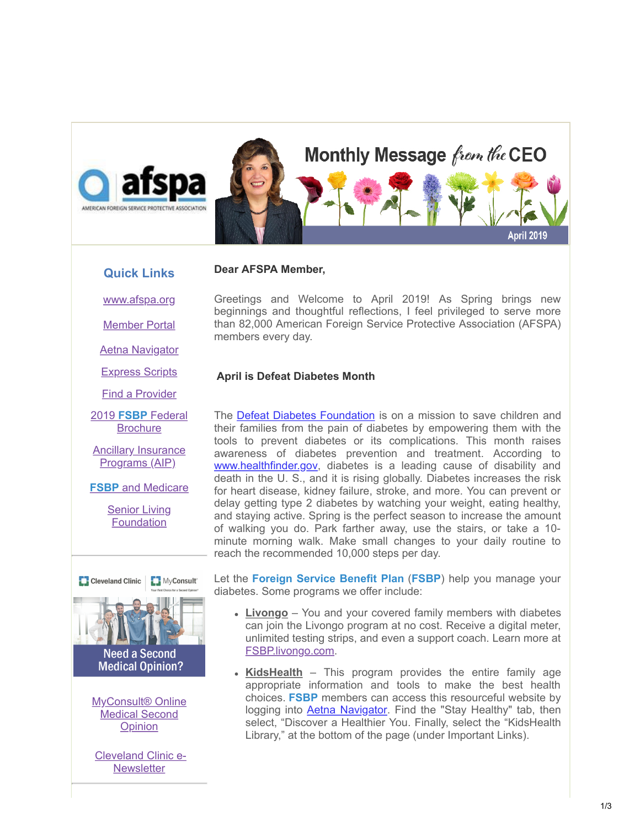

### **Quick Links**

[www.afspa.org](http://www.afspa.org/)

[Member Portal](https://secure.myafspa.org/)

[Aetna Navigator](http://www.aetnanavigator.com/)

[Express Scripts](https://www.express-scripts.com/consumer/site/openenrollment?accessCode=0285630FSBP0A)

[Find a Provider](http://www.afspa.org/fsbp/provider)

2019 **FSBP** Federal **[Brochure](https://www.afspa.org/filestoreAFSPA/2019RI72-001FSBPBrochure.pdf)** 

[Ancillary Insurance](https://www.afspa.org/aip_home.cfm) Programs (AIP)

**FSBP** [and Medicare](https://www.afspa.org/filestoreAFSPA/2018MedicareBrochure.pdf)

**[Senior Living](http://www.slfoundation.org/) Foundation** 



Medical Second **Opinion** 

[Cleveland Clinic e-](https://www.afspa.org/filestoreAFSPA/ClevelandClinic-SecondOpinionNewsletter-eFlyer-Apr2019-AFSPA.pdf)**Newsletter** 

Greetings and Welcome to April 2019! As Spring brings new beginnings and thoughtful reflections, I feel privileged to serve more than 82,000 American Foreign Service Protective Association (AFSPA) members every day.

#### **April is Defeat Diabetes Month**

**Dear AFSPA Member,**

The [Defeat Diabetes Foundation](https://defeatdiabetes.org/) is on a mission to save children and their families from the pain of diabetes by empowering them with the tools to prevent diabetes or its complications. This month raises awareness of diabetes prevention and treatment. According to [www.healthfinder.gov](http://www.healthfinder.gov/), diabetes is a leading cause of disability and death in the U. S., and it is rising globally. Diabetes increases the risk for heart disease, kidney failure, stroke, and more. You can prevent or delay getting type 2 diabetes by watching your weight, eating healthy, and staying active. Spring is the perfect season to increase the amount of walking you do. Park farther away, use the stairs, or take a 10 minute morning walk. Make small changes to your daily routine to reach the recommended 10,000 steps per day.

Let the **Foreign Service Benefit Plan** (**FSBP**) help you manage your diabetes. Some programs we offer include:

- **Livongo** You and your covered family members with diabetes can join the Livongo program at no cost. Receive a digital meter, unlimited testing strips, and even a support coach. Learn more at [FSBP.livongo.com.](http://fsbp.livongo.com/)
- **KidsHealth** This program provides the entire family age appropriate information and tools to make the best health choices. **FSBP** members can access this resourceful website by logging into **[Aetna Navigator](http://aetnanavigator.com/)**. Find the "Stay Healthy" tab, then select, "Discover a Healthier You. Finally, select the "KidsHealth Library," at the bottom of the page (under Important Links).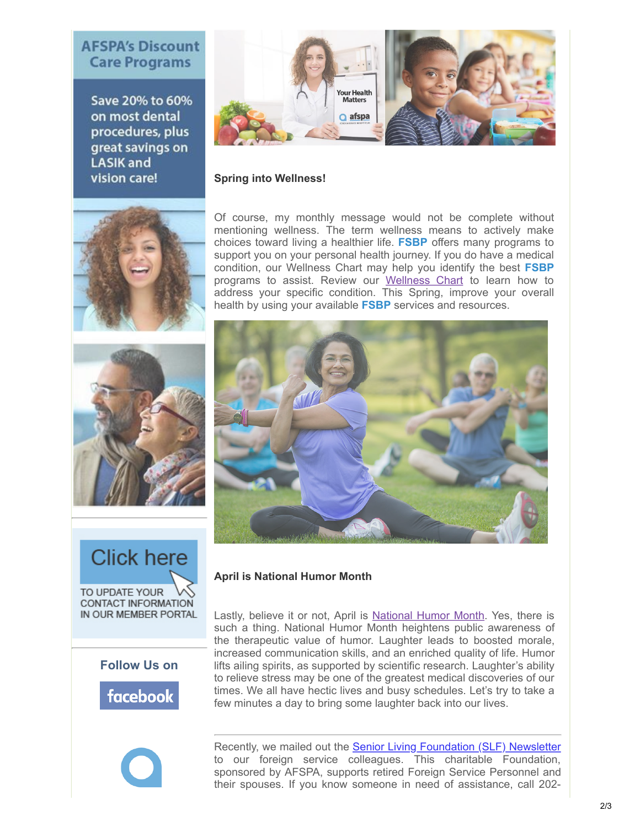# **AFSPA's Discount Care Programs**

Save 20% to 60% on most dental procedures, plus great savings on **LASIK and** vision care!



#### **Spring into Wellness!**

Of course, my monthly message would not be complete without mentioning wellness. The term wellness means to actively make choices toward living a healthier life. **FSBP** offers many programs to support you on your personal health journey. If you do have a medical condition, our Wellness Chart may help you identify the best **FSBP** programs to assist. Review our [Wellness Chart](https://www.afspa.org/fsbp_detail.cfm?page=Health-Programs) to learn how to address your specific condition. This Spring, improve your overall health by using your available **FSBP** services and resources.



## **April is National Humor Month**

Lastly, believe it or not, April is [National Humor Month](http://www.humormonth.com/). Yes, there is such a thing. National Humor Month heightens public awareness of the therapeutic value of humor. Laughter leads to boosted morale, increased communication skills, and an enriched quality of life. Humor lifts ailing spirits, as supported by scientific research. Laughter's ability to relieve stress may be one of the greatest medical discoveries of our times. We all have hectic lives and busy schedules. Let's try to take a few minutes a day to bring some laughter back into our lives.

Recently, we mailed out the **Senior Living Foundation (SLF) Newsletter** to our foreign service colleagues. This charitable Foundation, sponsored by AFSPA, supports retired Foreign Service Personnel and their spouses. If you know someone in need of assistance, call 202-













2/3